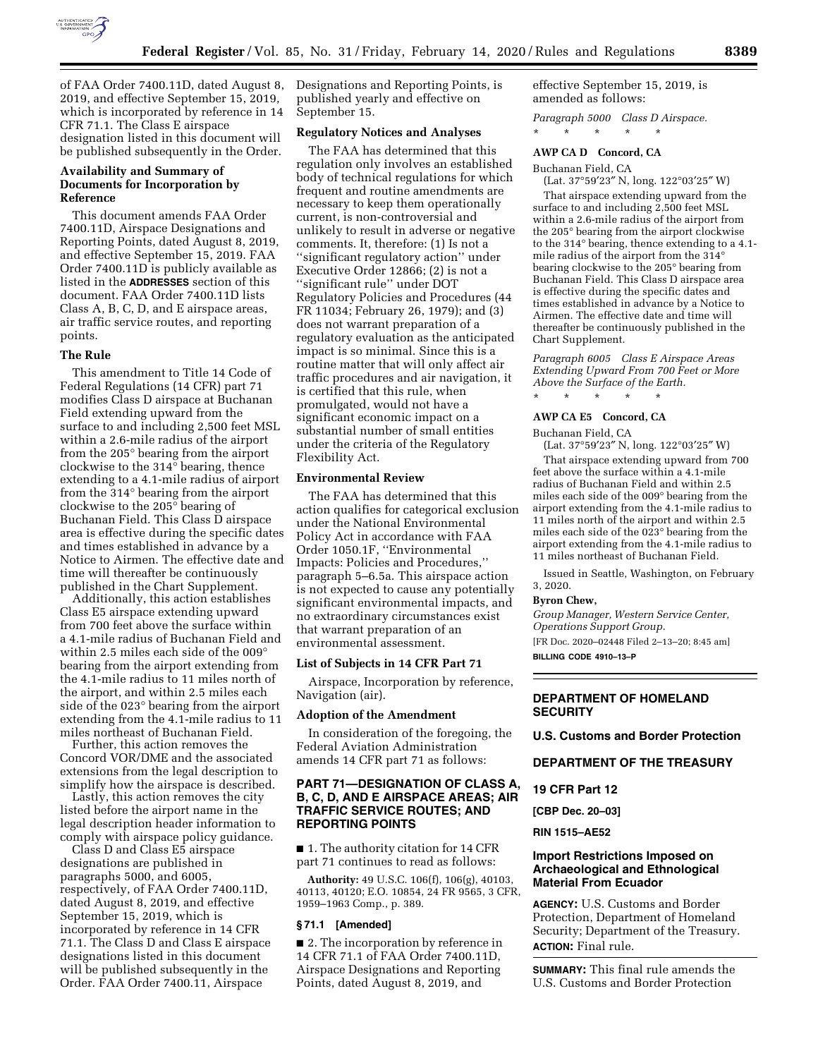

of FAA Order 7400.11D, dated August 8, 2019, and effective September 15, 2019, which is incorporated by reference in 14 CFR 71.1. The Class E airspace designation listed in this document will be published subsequently in the Order.

## **Availability and Summary of Documents for Incorporation by Reference**

This document amends FAA Order 7400.11D, Airspace Designations and Reporting Points, dated August 8, 2019, and effective September 15, 2019. FAA Order 7400.11D is publicly available as listed in the **ADDRESSES** section of this document. FAA Order 7400.11D lists Class A, B, C, D, and E airspace areas, air traffic service routes, and reporting points.

### **The Rule**

This amendment to Title 14 Code of Federal Regulations (14 CFR) part 71 modifies Class D airspace at Buchanan Field extending upward from the surface to and including 2,500 feet MSL within a 2.6-mile radius of the airport from the 205° bearing from the airport clockwise to the 314° bearing, thence extending to a 4.1-mile radius of airport from the 314° bearing from the airport clockwise to the 205° bearing of Buchanan Field. This Class D airspace area is effective during the specific dates and times established in advance by a Notice to Airmen. The effective date and time will thereafter be continuously published in the Chart Supplement.

Additionally, this action establishes Class E5 airspace extending upward from 700 feet above the surface within a 4.1-mile radius of Buchanan Field and within 2.5 miles each side of the 009° bearing from the airport extending from the 4.1-mile radius to 11 miles north of the airport, and within 2.5 miles each side of the 023° bearing from the airport extending from the 4.1-mile radius to 11 miles northeast of Buchanan Field.

Further, this action removes the Concord VOR/DME and the associated extensions from the legal description to simplify how the airspace is described.

Lastly, this action removes the city listed before the airport name in the legal description header information to comply with airspace policy guidance.

Class D and Class E5 airspace designations are published in paragraphs 5000, and 6005, respectively, of FAA Order 7400.11D, dated August 8, 2019, and effective September 15, 2019, which is incorporated by reference in 14 CFR 71.1. The Class D and Class E airspace designations listed in this document will be published subsequently in the Order. FAA Order 7400.11, Airspace

Designations and Reporting Points, is published yearly and effective on September 15.

#### **Regulatory Notices and Analyses**

The FAA has determined that this regulation only involves an established body of technical regulations for which frequent and routine amendments are necessary to keep them operationally current, is non-controversial and unlikely to result in adverse or negative comments. It, therefore: (1) Is not a ''significant regulatory action'' under Executive Order 12866; (2) is not a ''significant rule'' under DOT Regulatory Policies and Procedures (44 FR 11034; February 26, 1979); and (3) does not warrant preparation of a regulatory evaluation as the anticipated impact is so minimal. Since this is a routine matter that will only affect air traffic procedures and air navigation, it is certified that this rule, when promulgated, would not have a significant economic impact on a substantial number of small entities under the criteria of the Regulatory Flexibility Act.

#### **Environmental Review**

The FAA has determined that this action qualifies for categorical exclusion under the National Environmental Policy Act in accordance with FAA Order 1050.1F, ''Environmental Impacts: Policies and Procedures,'' paragraph 5–6.5a. This airspace action is not expected to cause any potentially significant environmental impacts, and no extraordinary circumstances exist that warrant preparation of an environmental assessment.

### **List of Subjects in 14 CFR Part 71**

Airspace, Incorporation by reference, Navigation (air).

#### **Adoption of the Amendment**

In consideration of the foregoing, the Federal Aviation Administration amends 14 CFR part 71 as follows:

# **PART 71—DESIGNATION OF CLASS A, B, C, D, AND E AIRSPACE AREAS; AIR TRAFFIC SERVICE ROUTES; AND REPORTING POINTS**

■ 1. The authority citation for 14 CFR part 71 continues to read as follows:

**Authority:** 49 U.S.C. 106(f), 106(g), 40103, 40113, 40120; E.O. 10854, 24 FR 9565, 3 CFR, 1959–1963 Comp., p. 389.

#### **§ 71.1 [Amended]**

■ 2. The incorporation by reference in 14 CFR 71.1 of FAA Order 7400.11D, Airspace Designations and Reporting Points, dated August 8, 2019, and

effective September 15, 2019, is amended as follows:

*Paragraph 5000 Class D Airspace.*  \* \* \* \* \*

### **AWP CA D Concord, CA**

Buchanan Field, CA

(Lat. 37°59′23″ N, long. 122°03′25″ W)

That airspace extending upward from the surface to and including 2,500 feet MSL within a 2.6-mile radius of the airport from the 205° bearing from the airport clockwise to the 314° bearing, thence extending to a 4.1 mile radius of the airport from the 314° bearing clockwise to the 205° bearing from Buchanan Field. This Class D airspace area is effective during the specific dates and times established in advance by a Notice to Airmen. The effective date and time will thereafter be continuously published in the Chart Supplement.

*Paragraph 6005 Class E Airspace Areas Extending Upward From 700 Feet or More Above the Surface of the Earth.*  \* \* \* \* \*

# **AWP CA E5 Concord, CA**

Buchanan Field, CA

(Lat. 37°59′23″ N, long. 122°03′25″ W)

That airspace extending upward from 700 feet above the surface within a 4.1-mile radius of Buchanan Field and within 2.5 miles each side of the 009° bearing from the airport extending from the 4.1-mile radius to 11 miles north of the airport and within 2.5 miles each side of the 023° bearing from the airport extending from the 4.1-mile radius to 11 miles northeast of Buchanan Field.

Issued in Seattle, Washington, on February 3, 2020.

#### **Byron Chew,**

*Group Manager, Western Service Center, Operations Support Group.*  [FR Doc. 2020–02448 Filed 2–13–20; 8:45 am]

**BILLING CODE 4910–13–P** 

# **DEPARTMENT OF HOMELAND SECURITY**

**U.S. Customs and Border Protection** 

## **DEPARTMENT OF THE TREASURY**

**19 CFR Part 12** 

**[CBP Dec. 20–03]** 

**RIN 1515–AE52** 

# **Import Restrictions Imposed on Archaeological and Ethnological Material From Ecuador**

**AGENCY:** U.S. Customs and Border Protection, Department of Homeland Security; Department of the Treasury. **ACTION:** Final rule.

**SUMMARY:** This final rule amends the U.S. Customs and Border Protection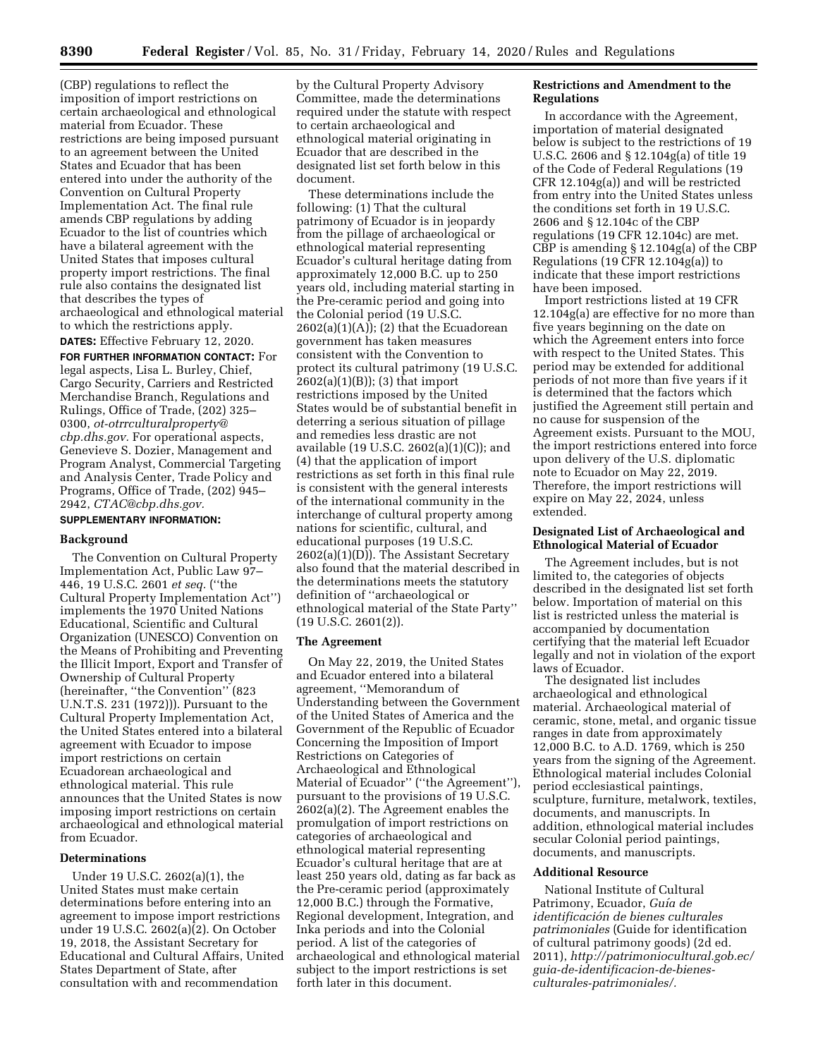(CBP) regulations to reflect the imposition of import restrictions on certain archaeological and ethnological material from Ecuador. These restrictions are being imposed pursuant to an agreement between the United States and Ecuador that has been entered into under the authority of the Convention on Cultural Property Implementation Act. The final rule amends CBP regulations by adding Ecuador to the list of countries which have a bilateral agreement with the United States that imposes cultural property import restrictions. The final rule also contains the designated list that describes the types of archaeological and ethnological material to which the restrictions apply.

**DATES:** Effective February 12, 2020.

**FOR FURTHER INFORMATION CONTACT:** For legal aspects, Lisa L. Burley, Chief, Cargo Security, Carriers and Restricted Merchandise Branch, Regulations and Rulings, Office of Trade, (202) 325– 0300, *[ot-otrrculturalproperty@](mailto:ot-otrrculturalproperty@cbp.dhs.gov) [cbp.dhs.gov.](mailto:ot-otrrculturalproperty@cbp.dhs.gov)* For operational aspects, Genevieve S. Dozier, Management and Program Analyst, Commercial Targeting and Analysis Center, Trade Policy and Programs, Office of Trade, (202) 945– 2942, *[CTAC@cbp.dhs.gov.](mailto:CTAC@cbp.dhs.gov)* 

# **SUPPLEMENTARY INFORMATION:**

#### **Background**

The Convention on Cultural Property Implementation Act, Public Law 97– 446, 19 U.S.C. 2601 *et seq.* (''the Cultural Property Implementation Act'') implements the 1970 United Nations Educational, Scientific and Cultural Organization (UNESCO) Convention on the Means of Prohibiting and Preventing the Illicit Import, Export and Transfer of Ownership of Cultural Property (hereinafter, ''the Convention'' (823 U.N.T.S. 231 (1972))). Pursuant to the Cultural Property Implementation Act, the United States entered into a bilateral agreement with Ecuador to impose import restrictions on certain Ecuadorean archaeological and ethnological material. This rule announces that the United States is now imposing import restrictions on certain archaeological and ethnological material from Ecuador.

### **Determinations**

Under 19 U.S.C. 2602(a)(1), the United States must make certain determinations before entering into an agreement to impose import restrictions under 19 U.S.C. 2602(a)(2). On October 19, 2018, the Assistant Secretary for Educational and Cultural Affairs, United States Department of State, after consultation with and recommendation

by the Cultural Property Advisory Committee, made the determinations required under the statute with respect to certain archaeological and ethnological material originating in Ecuador that are described in the designated list set forth below in this document.

These determinations include the following: (1) That the cultural patrimony of Ecuador is in jeopardy from the pillage of archaeological or ethnological material representing Ecuador's cultural heritage dating from approximately 12,000 B.C. up to 250 years old, including material starting in the Pre-ceramic period and going into the Colonial period (19 U.S.C.  $2602(a)(1)(A)$ ; (2) that the Ecuadorean government has taken measures consistent with the Convention to protect its cultural patrimony (19 U.S.C.  $2602(a)(1)(B)$ ; (3) that import restrictions imposed by the United States would be of substantial benefit in deterring a serious situation of pillage and remedies less drastic are not available (19 U.S.C. 2602(a)(1)(C)); and (4) that the application of import restrictions as set forth in this final rule is consistent with the general interests of the international community in the interchange of cultural property among nations for scientific, cultural, and educational purposes (19 U.S.C. 2602(a)(1)(D)). The Assistant Secretary also found that the material described in the determinations meets the statutory definition of ''archaeological or ethnological material of the State Party'' (19 U.S.C. 2601(2)).

### **The Agreement**

On May 22, 2019, the United States and Ecuador entered into a bilateral agreement, ''Memorandum of Understanding between the Government of the United States of America and the Government of the Republic of Ecuador Concerning the Imposition of Import Restrictions on Categories of Archaeological and Ethnological Material of Ecuador'' (''the Agreement''), pursuant to the provisions of 19 U.S.C. 2602(a)(2). The Agreement enables the promulgation of import restrictions on categories of archaeological and ethnological material representing Ecuador's cultural heritage that are at least 250 years old, dating as far back as the Pre-ceramic period (approximately 12,000 B.C.) through the Formative, Regional development, Integration, and Inka periods and into the Colonial period. A list of the categories of archaeological and ethnological material subject to the import restrictions is set forth later in this document.

## **Restrictions and Amendment to the Regulations**

In accordance with the Agreement, importation of material designated below is subject to the restrictions of 19 U.S.C. 2606 and § 12.104g(a) of title 19 of the Code of Federal Regulations (19 CFR 12.104g(a)) and will be restricted from entry into the United States unless the conditions set forth in 19 U.S.C. 2606 and § 12.104c of the CBP regulations (19 CFR 12.104c) are met. CBP is amending § 12.104g(a) of the CBP Regulations (19 CFR 12.104g(a)) to indicate that these import restrictions have been imposed.

Import restrictions listed at 19 CFR 12.104g(a) are effective for no more than five years beginning on the date on which the Agreement enters into force with respect to the United States. This period may be extended for additional periods of not more than five years if it is determined that the factors which justified the Agreement still pertain and no cause for suspension of the Agreement exists. Pursuant to the MOU, the import restrictions entered into force upon delivery of the U.S. diplomatic note to Ecuador on May 22, 2019. Therefore, the import restrictions will expire on May 22, 2024, unless extended.

### **Designated List of Archaeological and Ethnological Material of Ecuador**

The Agreement includes, but is not limited to, the categories of objects described in the designated list set forth below. Importation of material on this list is restricted unless the material is accompanied by documentation certifying that the material left Ecuador legally and not in violation of the export laws of Ecuador.

The designated list includes archaeological and ethnological material. Archaeological material of ceramic, stone, metal, and organic tissue ranges in date from approximately 12,000 B.C. to A.D. 1769, which is 250 years from the signing of the Agreement. Ethnological material includes Colonial period ecclesiastical paintings, sculpture, furniture, metalwork, textiles, documents, and manuscripts. In addition, ethnological material includes secular Colonial period paintings, documents, and manuscripts.

# **Additional Resource**

National Institute of Cultural Patrimony, Ecuador, *Guı´a de identificacio´n de bienes culturales patrimoniales* (Guide for identification of cultural patrimony goods) (2d ed. 2011), *[http://patrimoniocultural.gob.ec/](http://patrimoniocultural.gob.ec/guia-de-identificacion-de-bienes-culturales-patrimoniales/) [guia-de-identificacion-de-bienes](http://patrimoniocultural.gob.ec/guia-de-identificacion-de-bienes-culturales-patrimoniales/)[culturales-patrimoniales/.](http://patrimoniocultural.gob.ec/guia-de-identificacion-de-bienes-culturales-patrimoniales/)*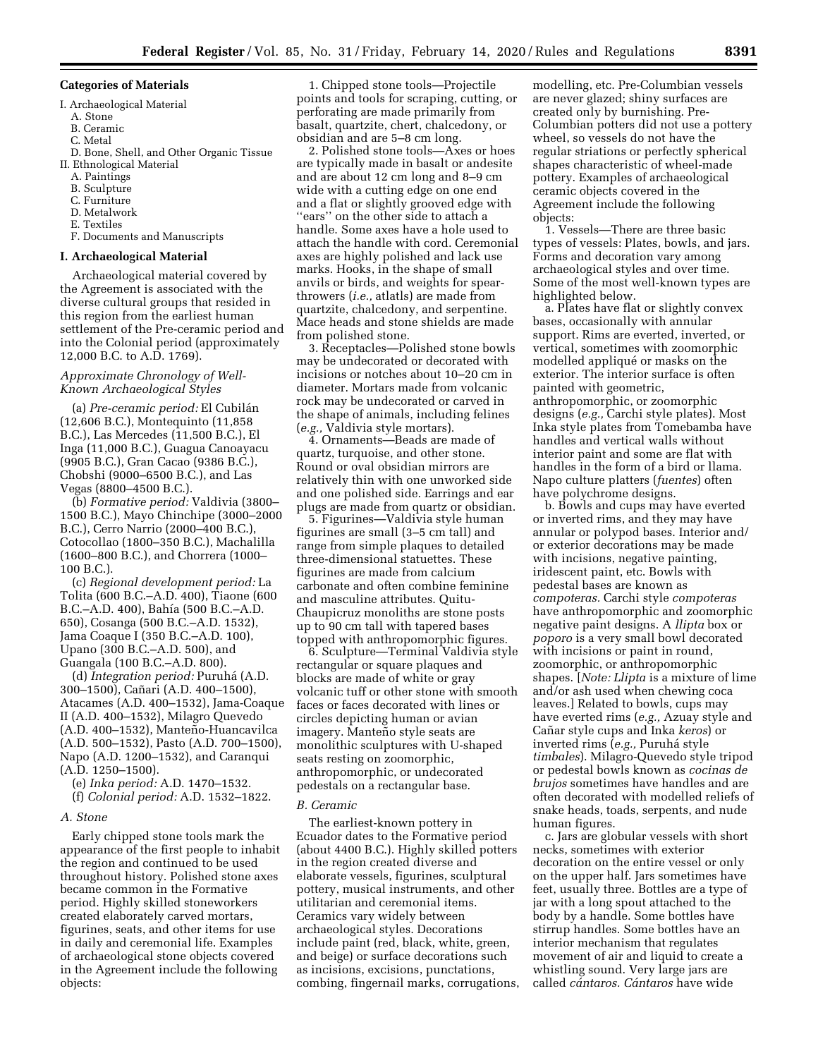#### **Categories of Materials**

- I. Archaeological Material
- A. Stone
- B. Ceramic
- C. Metal
- D. Bone, Shell, and Other Organic Tissue II. Ethnological Material
	- A. Paintings
	- B. Sculpture
	- C. Furniture
	- D. Metalwork
	- E. Textiles
	- F. Documents and Manuscripts

### **I. Archaeological Material**

Archaeological material covered by the Agreement is associated with the diverse cultural groups that resided in this region from the earliest human settlement of the Pre-ceramic period and into the Colonial period (approximately 12,000 B.C. to A.D. 1769).

### *Approximate Chronology of Well-Known Archaeological Styles*

(a) *Pre-ceramic period:* El Cubila´n (12,606 B.C.), Montequinto (11,858 B.C.), Las Mercedes (11,500 B.C.), El Inga (11,000 B.C.), Guagua Canoayacu (9905 B.C.), Gran Cacao (9386 B.C.), Chobshi (9000–6500 B.C.), and Las Vegas (8800–4500 B.C.).

(b) *Formative period:* Valdivia (3800– 1500 B.C.), Mayo Chinchipe (3000–2000 B.C.), Cerro Narrio (2000–400 B.C.), Cotocollao (1800–350 B.C.), Machalilla (1600–800 B.C.), and Chorrera (1000– 100 B.C.).

(c) *Regional development period:* La Tolita (600 B.C.–A.D. 400), Tiaone (600 B.C.–A.D. 400), Bahía (500 B.C.–A.D. 650), Cosanga (500 B.C.–A.D. 1532), Jama Coaque I (350 B.C.–A.D. 100), Upano (300 B.C.–A.D. 500), and Guangala (100 B.C.–A.D. 800).

(d) *Integration period:* Puruha´ (A.D. 300–1500), Cañari (A.D. 400–1500), Atacames (A.D. 400–1532), Jama-Coaque II (A.D. 400–1532), Milagro Quevedo (A.D. 400–1532), Manteño-Huancavilca (A.D. 500–1532), Pasto (A.D. 700–1500), Napo (A.D. 1200–1532), and Caranqui (A.D. 1250–1500).

(e) *Inka period:* A.D. 1470–1532. (f) *Colonial period:* A.D. 1532–1822.

#### *A. Stone*

Early chipped stone tools mark the appearance of the first people to inhabit the region and continued to be used throughout history. Polished stone axes became common in the Formative period. Highly skilled stoneworkers created elaborately carved mortars, figurines, seats, and other items for use in daily and ceremonial life. Examples of archaeological stone objects covered in the Agreement include the following objects:

1. Chipped stone tools—Projectile points and tools for scraping, cutting, or perforating are made primarily from basalt, quartzite, chert, chalcedony, or obsidian and are 5–8 cm long.

2. Polished stone tools—Axes or hoes are typically made in basalt or andesite and are about 12 cm long and 8–9 cm wide with a cutting edge on one end and a flat or slightly grooved edge with ''ears'' on the other side to attach a handle. Some axes have a hole used to attach the handle with cord. Ceremonial axes are highly polished and lack use marks. Hooks, in the shape of small anvils or birds, and weights for spearthrowers (*i.e.,* atlatls) are made from quartzite, chalcedony, and serpentine. Mace heads and stone shields are made from polished stone.

3. Receptacles—Polished stone bowls may be undecorated or decorated with incisions or notches about 10–20 cm in diameter. Mortars made from volcanic rock may be undecorated or carved in the shape of animals, including felines (*e.g.,* Valdivia style mortars).

4. Ornaments—Beads are made of quartz, turquoise, and other stone. Round or oval obsidian mirrors are relatively thin with one unworked side and one polished side. Earrings and ear plugs are made from quartz or obsidian.

5. Figurines—Valdivia style human figurines are small (3–5 cm tall) and range from simple plaques to detailed three-dimensional statuettes. These figurines are made from calcium carbonate and often combine feminine and masculine attributes. Quitu-Chaupicruz monoliths are stone posts up to 90 cm tall with tapered bases topped with anthropomorphic figures.

6. Sculpture—Terminal Valdivia style rectangular or square plaques and blocks are made of white or gray volcanic tuff or other stone with smooth faces or faces decorated with lines or circles depicting human or avian imagery. Manteño style seats are monolithic sculptures with U-shaped seats resting on zoomorphic, anthropomorphic, or undecorated pedestals on a rectangular base.

### *B. Ceramic*

The earliest-known pottery in Ecuador dates to the Formative period (about 4400 B.C.). Highly skilled potters in the region created diverse and elaborate vessels, figurines, sculptural pottery, musical instruments, and other utilitarian and ceremonial items. Ceramics vary widely between archaeological styles. Decorations include paint (red, black, white, green, and beige) or surface decorations such as incisions, excisions, punctations, combing, fingernail marks, corrugations, modelling, etc. Pre-Columbian vessels are never glazed; shiny surfaces are created only by burnishing. Pre-Columbian potters did not use a pottery wheel, so vessels do not have the regular striations or perfectly spherical shapes characteristic of wheel-made pottery. Examples of archaeological ceramic objects covered in the Agreement include the following objects:

1. Vessels—There are three basic types of vessels: Plates, bowls, and jars. Forms and decoration vary among archaeological styles and over time. Some of the most well-known types are highlighted below.

a. Plates have flat or slightly convex bases, occasionally with annular support. Rims are everted, inverted, or vertical, sometimes with zoomorphic modelled appliqué or masks on the exterior. The interior surface is often painted with geometric, anthropomorphic, or zoomorphic designs (*e.g.,* Carchi style plates). Most Inka style plates from Tomebamba have handles and vertical walls without interior paint and some are flat with handles in the form of a bird or llama. Napo culture platters (*fuentes*) often have polychrome designs.

b. Bowls and cups may have everted or inverted rims, and they may have annular or polypod bases. Interior and/ or exterior decorations may be made with incisions, negative painting, iridescent paint, etc. Bowls with pedestal bases are known as *compoteras.* Carchi style *compoteras*  have anthropomorphic and zoomorphic negative paint designs. A *llipta* box or *poporo* is a very small bowl decorated with incisions or paint in round, zoomorphic, or anthropomorphic shapes. [*Note: Llipta* is a mixture of lime and/or ash used when chewing coca leaves.] Related to bowls, cups may have everted rims (*e.g.,* Azuay style and Can˜ ar style cups and Inka *keros*) or inverted rims (*e.g.,* Puruha´ style *timbales*). Milagro-Quevedo style tripod or pedestal bowls known as *cocinas de brujos* sometimes have handles and are often decorated with modelled reliefs of snake heads, toads, serpents, and nude human figures.

c. Jars are globular vessels with short necks, sometimes with exterior decoration on the entire vessel or only on the upper half. Jars sometimes have feet, usually three. Bottles are a type of jar with a long spout attached to the body by a handle. Some bottles have stirrup handles. Some bottles have an interior mechanism that regulates movement of air and liquid to create a whistling sound. Very large jars are called *ca´ntaros. Ca´ntaros* have wide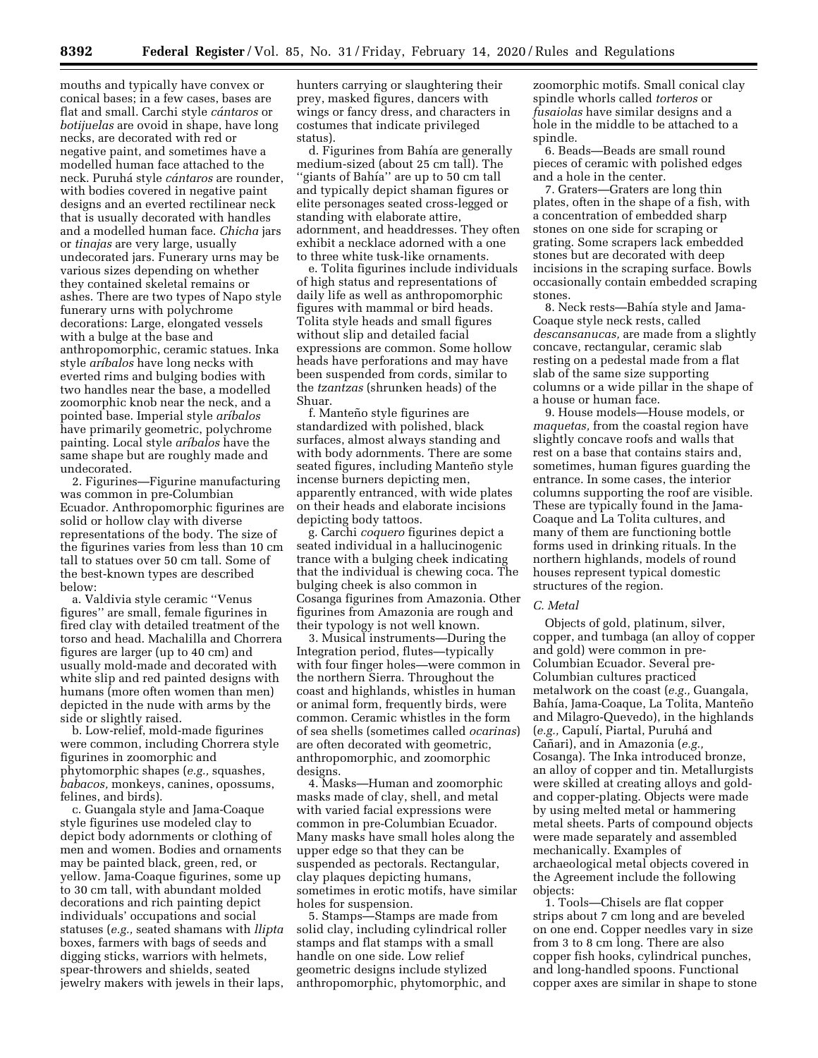mouths and typically have convex or conical bases; in a few cases, bases are flat and small. Carchi style *ca´ntaros* or *botijuelas* are ovoid in shape, have long necks, are decorated with red or negative paint, and sometimes have a modelled human face attached to the neck. Puruha´ style *ca´ntaros* are rounder, with bodies covered in negative paint designs and an everted rectilinear neck that is usually decorated with handles and a modelled human face. *Chicha* jars or *tinajas* are very large, usually undecorated jars. Funerary urns may be various sizes depending on whether they contained skeletal remains or ashes. There are two types of Napo style funerary urns with polychrome decorations: Large, elongated vessels with a bulge at the base and anthropomorphic, ceramic statues. Inka style *arı´balos* have long necks with everted rims and bulging bodies with two handles near the base, a modelled zoomorphic knob near the neck, and a pointed base. Imperial style *arı´balos*  have primarily geometric, polychrome painting. Local style *arı´balos* have the same shape but are roughly made and undecorated.

2. Figurines—Figurine manufacturing was common in pre-Columbian Ecuador. Anthropomorphic figurines are solid or hollow clay with diverse representations of the body. The size of the figurines varies from less than 10 cm tall to statues over 50 cm tall. Some of the best-known types are described below:

a. Valdivia style ceramic ''Venus figures'' are small, female figurines in fired clay with detailed treatment of the torso and head. Machalilla and Chorrera figures are larger (up to 40 cm) and usually mold-made and decorated with white slip and red painted designs with humans (more often women than men) depicted in the nude with arms by the side or slightly raised.

b. Low-relief, mold-made figurines were common, including Chorrera style figurines in zoomorphic and phytomorphic shapes (*e.g.,* squashes, *babacos,* monkeys, canines, opossums, felines, and birds).

c. Guangala style and Jama-Coaque style figurines use modeled clay to depict body adornments or clothing of men and women. Bodies and ornaments may be painted black, green, red, or yellow. Jama-Coaque figurines, some up to 30 cm tall, with abundant molded decorations and rich painting depict individuals' occupations and social statuses (*e.g.,* seated shamans with *llipta*  boxes, farmers with bags of seeds and digging sticks, warriors with helmets, spear-throwers and shields, seated jewelry makers with jewels in their laps,

hunters carrying or slaughtering their prey, masked figures, dancers with wings or fancy dress, and characters in costumes that indicate privileged status).

d. Figurines from Bahía are generally medium-sized (about 25 cm tall). The "giants of Bahía" are up to 50 cm tall and typically depict shaman figures or elite personages seated cross-legged or standing with elaborate attire, adornment, and headdresses. They often exhibit a necklace adorned with a one to three white tusk-like ornaments.

e. Tolita figurines include individuals of high status and representations of daily life as well as anthropomorphic figures with mammal or bird heads. Tolita style heads and small figures without slip and detailed facial expressions are common. Some hollow heads have perforations and may have been suspended from cords, similar to the *tzantzas* (shrunken heads) of the Shuar.

f. Manteño style figurines are standardized with polished, black surfaces, almost always standing and with body adornments. There are some seated figures, including Manteño style incense burners depicting men, apparently entranced, with wide plates on their heads and elaborate incisions depicting body tattoos.

g. Carchi *coquero* figurines depict a seated individual in a hallucinogenic trance with a bulging cheek indicating that the individual is chewing coca. The bulging cheek is also common in Cosanga figurines from Amazonia. Other figurines from Amazonia are rough and their typology is not well known.

3. Musical instruments—During the Integration period, flutes—typically with four finger holes—were common in the northern Sierra. Throughout the coast and highlands, whistles in human or animal form, frequently birds, were common. Ceramic whistles in the form of sea shells (sometimes called *ocarinas*) are often decorated with geometric, anthropomorphic, and zoomorphic designs.

4. Masks—Human and zoomorphic masks made of clay, shell, and metal with varied facial expressions were common in pre-Columbian Ecuador. Many masks have small holes along the upper edge so that they can be suspended as pectorals. Rectangular, clay plaques depicting humans, sometimes in erotic motifs, have similar holes for suspension.

5. Stamps—Stamps are made from solid clay, including cylindrical roller stamps and flat stamps with a small handle on one side. Low relief geometric designs include stylized anthropomorphic, phytomorphic, and

zoomorphic motifs. Small conical clay spindle whorls called *torteros* or *fusaiolas* have similar designs and a hole in the middle to be attached to a spindle.

6. Beads—Beads are small round pieces of ceramic with polished edges and a hole in the center.

7. Graters—Graters are long thin plates, often in the shape of a fish, with a concentration of embedded sharp stones on one side for scraping or grating. Some scrapers lack embedded stones but are decorated with deep incisions in the scraping surface. Bowls occasionally contain embedded scraping stones.

8. Neck rests—Bahía style and Jama-Coaque style neck rests, called *descansanucas,* are made from a slightly concave, rectangular, ceramic slab resting on a pedestal made from a flat slab of the same size supporting columns or a wide pillar in the shape of a house or human face.

9. House models—House models, or *maquetas,* from the coastal region have slightly concave roofs and walls that rest on a base that contains stairs and, sometimes, human figures guarding the entrance. In some cases, the interior columns supporting the roof are visible. These are typically found in the Jama-Coaque and La Tolita cultures, and many of them are functioning bottle forms used in drinking rituals. In the northern highlands, models of round houses represent typical domestic structures of the region.

#### *C. Metal*

Objects of gold, platinum, silver, copper, and tumbaga (an alloy of copper and gold) were common in pre-Columbian Ecuador. Several pre-Columbian cultures practiced metalwork on the coast (*e.g.,* Guangala, Bahía, Jama-Coaque, La Tolita, Manteño and Milagro-Quevedo), in the highlands (e.g., Capulí, Piartal, Puruhá and Cañari), and in Amazonia (e.g., Cosanga). The Inka introduced bronze, an alloy of copper and tin. Metallurgists were skilled at creating alloys and goldand copper-plating. Objects were made by using melted metal or hammering metal sheets. Parts of compound objects were made separately and assembled mechanically. Examples of archaeological metal objects covered in the Agreement include the following objects:

1. Tools—Chisels are flat copper strips about 7 cm long and are beveled on one end. Copper needles vary in size from 3 to 8 cm long. There are also copper fish hooks, cylindrical punches, and long-handled spoons. Functional copper axes are similar in shape to stone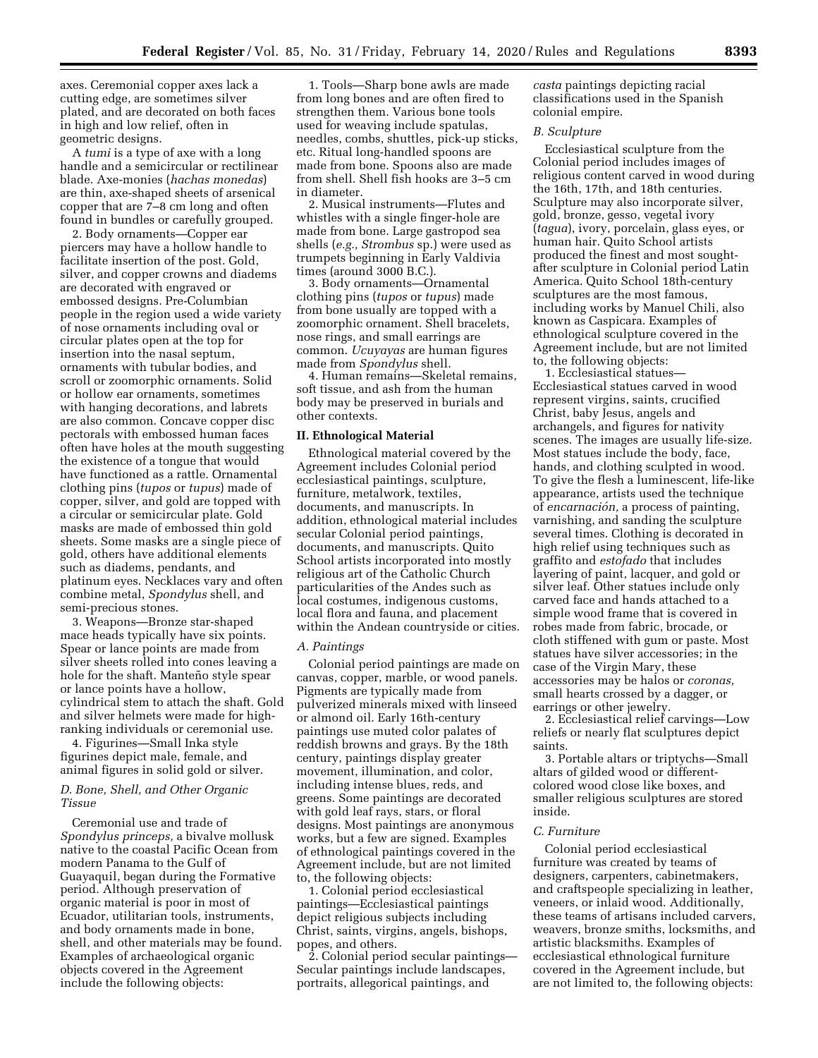axes. Ceremonial copper axes lack a cutting edge, are sometimes silver plated, and are decorated on both faces in high and low relief, often in geometric designs.

A *tumi* is a type of axe with a long handle and a semicircular or rectilinear blade. Axe-monies (*hachas monedas*) are thin, axe-shaped sheets of arsenical copper that are 7–8 cm long and often found in bundles or carefully grouped.

2. Body ornaments—Copper ear piercers may have a hollow handle to facilitate insertion of the post. Gold, silver, and copper crowns and diadems are decorated with engraved or embossed designs. Pre-Columbian people in the region used a wide variety of nose ornaments including oval or circular plates open at the top for insertion into the nasal septum, ornaments with tubular bodies, and scroll or zoomorphic ornaments. Solid or hollow ear ornaments, sometimes with hanging decorations, and labrets are also common. Concave copper disc pectorals with embossed human faces often have holes at the mouth suggesting the existence of a tongue that would have functioned as a rattle. Ornamental clothing pins (*tupos* or *tupus*) made of copper, silver, and gold are topped with a circular or semicircular plate. Gold masks are made of embossed thin gold sheets. Some masks are a single piece of gold, others have additional elements such as diadems, pendants, and platinum eyes. Necklaces vary and often combine metal, *Spondylus* shell, and semi-precious stones.

3. Weapons—Bronze star-shaped mace heads typically have six points. Spear or lance points are made from silver sheets rolled into cones leaving a hole for the shaft. Manteño style spear or lance points have a hollow, cylindrical stem to attach the shaft. Gold and silver helmets were made for highranking individuals or ceremonial use.

4. Figurines—Small Inka style figurines depict male, female, and animal figures in solid gold or silver.

## *D. Bone, Shell, and Other Organic Tissue*

Ceremonial use and trade of *Spondylus princeps,* a bivalve mollusk native to the coastal Pacific Ocean from modern Panama to the Gulf of Guayaquil, began during the Formative period. Although preservation of organic material is poor in most of Ecuador, utilitarian tools, instruments, and body ornaments made in bone, shell, and other materials may be found. Examples of archaeological organic objects covered in the Agreement include the following objects:

1. Tools—Sharp bone awls are made from long bones and are often fired to strengthen them. Various bone tools used for weaving include spatulas, needles, combs, shuttles, pick-up sticks, etc. Ritual long-handled spoons are made from bone. Spoons also are made from shell. Shell fish hooks are 3–5 cm in diameter.

2. Musical instruments—Flutes and whistles with a single finger-hole are made from bone. Large gastropod sea shells (*e.g., Strombus* sp.) were used as trumpets beginning in Early Valdivia times (around 3000 B.C.).

3. Body ornaments—Ornamental clothing pins (*tupos* or *tupus*) made from bone usually are topped with a zoomorphic ornament. Shell bracelets, nose rings, and small earrings are common. *Ucuyayas* are human figures made from *Spondylus* shell.

4. Human remains—Skeletal remains, soft tissue, and ash from the human body may be preserved in burials and other contexts.

#### **II. Ethnological Material**

Ethnological material covered by the Agreement includes Colonial period ecclesiastical paintings, sculpture, furniture, metalwork, textiles, documents, and manuscripts. In addition, ethnological material includes secular Colonial period paintings, documents, and manuscripts. Quito School artists incorporated into mostly religious art of the Catholic Church particularities of the Andes such as local costumes, indigenous customs, local flora and fauna, and placement within the Andean countryside or cities.

#### *A. Paintings*

Colonial period paintings are made on canvas, copper, marble, or wood panels. Pigments are typically made from pulverized minerals mixed with linseed or almond oil. Early 16th-century paintings use muted color palates of reddish browns and grays. By the 18th century, paintings display greater movement, illumination, and color, including intense blues, reds, and greens. Some paintings are decorated with gold leaf rays, stars, or floral designs. Most paintings are anonymous works, but a few are signed. Examples of ethnological paintings covered in the Agreement include, but are not limited to, the following objects:

1. Colonial period ecclesiastical paintings—Ecclesiastical paintings depict religious subjects including Christ, saints, virgins, angels, bishops, popes, and others.

2. Colonial period secular paintings— Secular paintings include landscapes, portraits, allegorical paintings, and

*casta* paintings depicting racial classifications used in the Spanish colonial empire.

## *B. Sculpture*

Ecclesiastical sculpture from the Colonial period includes images of religious content carved in wood during the 16th, 17th, and 18th centuries. Sculpture may also incorporate silver, gold, bronze, gesso, vegetal ivory (*tagua*), ivory, porcelain, glass eyes, or human hair. Quito School artists produced the finest and most soughtafter sculpture in Colonial period Latin America. Quito School 18th-century sculptures are the most famous, including works by Manuel Chili, also known as Caspicara. Examples of ethnological sculpture covered in the Agreement include, but are not limited to, the following objects:

1. Ecclesiastical statues— Ecclesiastical statues carved in wood represent virgins, saints, crucified Christ, baby Jesus, angels and archangels, and figures for nativity scenes. The images are usually life-size. Most statues include the body, face, hands, and clothing sculpted in wood. To give the flesh a luminescent, life-like appearance, artists used the technique of *encarnacio´n,* a process of painting, varnishing, and sanding the sculpture several times. Clothing is decorated in high relief using techniques such as graffito and *estofado* that includes layering of paint, lacquer, and gold or silver leaf. Other statues include only carved face and hands attached to a simple wood frame that is covered in robes made from fabric, brocade, or cloth stiffened with gum or paste. Most statues have silver accessories; in the case of the Virgin Mary, these accessories may be halos or *coronas,*  small hearts crossed by a dagger, or earrings or other jewelry.

2. Ecclesiastical relief carvings—Low reliefs or nearly flat sculptures depict saints.

3. Portable altars or triptychs—Small altars of gilded wood or differentcolored wood close like boxes, and smaller religious sculptures are stored inside.

#### *C. Furniture*

Colonial period ecclesiastical furniture was created by teams of designers, carpenters, cabinetmakers, and craftspeople specializing in leather, veneers, or inlaid wood. Additionally, these teams of artisans included carvers, weavers, bronze smiths, locksmiths, and artistic blacksmiths. Examples of ecclesiastical ethnological furniture covered in the Agreement include, but are not limited to, the following objects: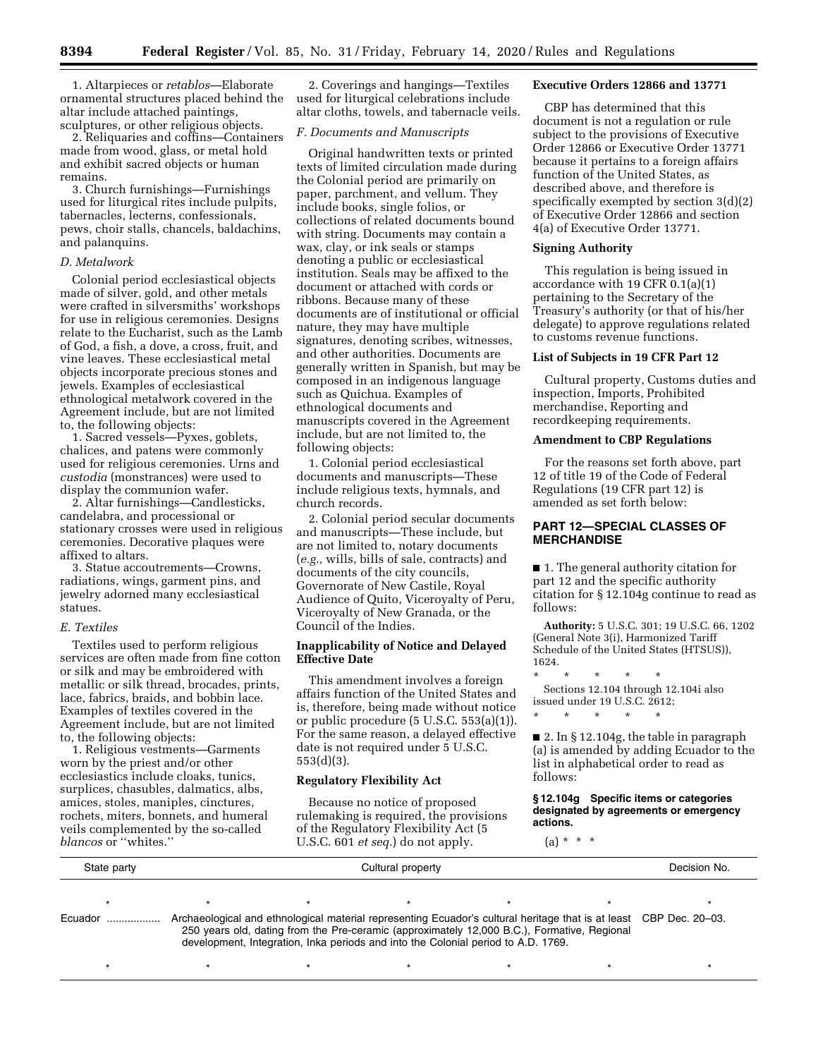1. Altarpieces or *retablos*—Elaborate ornamental structures placed behind the altar include attached paintings, sculptures, or other religious objects.

2. Reliquaries and coffins—Containers made from wood, glass, or metal hold and exhibit sacred objects or human remains.

3. Church furnishings—Furnishings used for liturgical rites include pulpits, tabernacles, lecterns, confessionals, pews, choir stalls, chancels, baldachins, and palanquins.

### *D. Metalwork*

Colonial period ecclesiastical objects made of silver, gold, and other metals were crafted in silversmiths' workshops for use in religious ceremonies. Designs relate to the Eucharist, such as the Lamb of God, a fish, a dove, a cross, fruit, and vine leaves. These ecclesiastical metal objects incorporate precious stones and jewels. Examples of ecclesiastical ethnological metalwork covered in the Agreement include, but are not limited to, the following objects:

1. Sacred vessels—Pyxes, goblets, chalices, and patens were commonly used for religious ceremonies. Urns and *custodia* (monstrances) were used to display the communion wafer.

2. Altar furnishings—Candlesticks, candelabra, and processional or stationary crosses were used in religious ceremonies. Decorative plaques were affixed to altars.

3. Statue accoutrements—Crowns, radiations, wings, garment pins, and jewelry adorned many ecclesiastical statues.

### *E. Textiles*

Textiles used to perform religious services are often made from fine cotton or silk and may be embroidered with metallic or silk thread, brocades, prints, lace, fabrics, braids, and bobbin lace. Examples of textiles covered in the Agreement include, but are not limited to, the following objects:

1. Religious vestments—Garments worn by the priest and/or other ecclesiastics include cloaks, tunics, surplices, chasubles, dalmatics, albs, amices, stoles, maniples, cinctures, rochets, miters, bonnets, and humeral veils complemented by the so-called *blancos* or ''whites.''

2. Coverings and hangings—Textiles used for liturgical celebrations include altar cloths, towels, and tabernacle veils.

### *F. Documents and Manuscripts*

Original handwritten texts or printed texts of limited circulation made during the Colonial period are primarily on paper, parchment, and vellum. They include books, single folios, or collections of related documents bound with string. Documents may contain a wax, clay, or ink seals or stamps denoting a public or ecclesiastical institution. Seals may be affixed to the document or attached with cords or ribbons. Because many of these documents are of institutional or official nature, they may have multiple signatures, denoting scribes, witnesses, and other authorities. Documents are generally written in Spanish, but may be composed in an indigenous language such as Quichua. Examples of ethnological documents and manuscripts covered in the Agreement include, but are not limited to, the following objects:

1. Colonial period ecclesiastical documents and manuscripts—These include religious texts, hymnals, and church records.

2. Colonial period secular documents and manuscripts—These include, but are not limited to, notary documents (*e.g.,* wills, bills of sale, contracts) and documents of the city councils, Governorate of New Castile, Royal Audience of Quito, Viceroyalty of Peru, Viceroyalty of New Granada, or the Council of the Indies.

## **Inapplicability of Notice and Delayed Effective Date**

This amendment involves a foreign affairs function of the United States and is, therefore, being made without notice or public procedure (5 U.S.C. 553(a)(1)). For the same reason, a delayed effective date is not required under  $\bar{5}$  U.S.C. 553(d)(3).

### **Regulatory Flexibility Act**

Because no notice of proposed rulemaking is required, the provisions of the Regulatory Flexibility Act (5 U.S.C. 601 *et seq.*) do not apply.

### **Executive Orders 12866 and 13771**

CBP has determined that this document is not a regulation or rule subject to the provisions of Executive Order 12866 or Executive Order 13771 because it pertains to a foreign affairs function of the United States, as described above, and therefore is specifically exempted by section 3(d)(2) of Executive Order 12866 and section 4(a) of Executive Order 13771.

### **Signing Authority**

This regulation is being issued in accordance with 19 CFR 0.1(a)(1) pertaining to the Secretary of the Treasury's authority (or that of his/her delegate) to approve regulations related to customs revenue functions.

## **List of Subjects in 19 CFR Part 12**

Cultural property, Customs duties and inspection, Imports, Prohibited merchandise, Reporting and recordkeeping requirements.

# **Amendment to CBP Regulations**

For the reasons set forth above, part 12 of title 19 of the Code of Federal Regulations (19 CFR part 12) is amended as set forth below:

# **PART 12—SPECIAL CLASSES OF MERCHANDISE**

■ 1. The general authority citation for part 12 and the specific authority citation for § 12.104g continue to read as follows:

**Authority:** 5 U.S.C. 301; 19 U.S.C. 66, 1202 (General Note 3(i), Harmonized Tariff Schedule of the United States (HTSUS)), 1624.

\* \* \* \* \* Sections 12.104 through 12.104i also issued under 19 U.S.C. 2612;

\* \* \* \* \*

■ 2. In § 12.104g, the table in paragraph (a) is amended by adding Ecuador to the list in alphabetical order to read as follows:

### **§ 12.104g Specific items or categories designated by agreements or emergency actions.**

 $(a) * * * *$ 

| State party | Cultural property |                                                                                                                                                                                                                                                                                                        |  |  |  | Decision No. |
|-------------|-------------------|--------------------------------------------------------------------------------------------------------------------------------------------------------------------------------------------------------------------------------------------------------------------------------------------------------|--|--|--|--------------|
| Ecuador     |                   | Archaeological and ethnological material representing Ecuador's cultural heritage that is at least CBP Dec. 20–03.<br>250 years old, dating from the Pre-ceramic (approximately 12,000 B.C.), Formative, Regional<br>development, Integration, Inka periods and into the Colonial period to A.D. 1769. |  |  |  |              |
|             |                   |                                                                                                                                                                                                                                                                                                        |  |  |  |              |